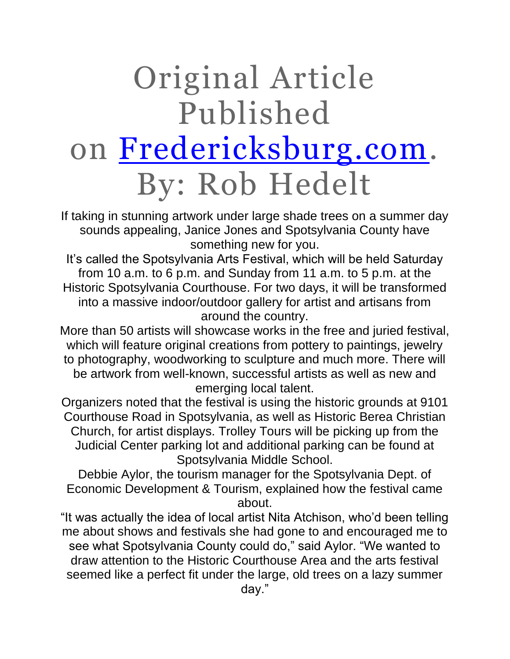## Original Article Published on [Fredericksburg.com.](https://www.fredericksburg.com/news/local/new-spotsylvania-arts-festival-kicking-off-this-weekend-at-historic/article_faf890c2-5c8d-5781-86e9-484079d3f122.html) By: Rob Hedelt

If taking in stunning artwork under large shade trees on a summer day sounds appealing, Janice Jones and Spotsylvania County have something new for you.

It's called the Spotsylvania Arts Festival, which will be held Saturday from 10 a.m. to 6 p.m. and Sunday from 11 a.m. to 5 p.m. at the Historic Spotsylvania Courthouse. For two days, it will be transformed into a massive indoor/outdoor gallery for artist and artisans from around the country.

More than 50 artists will showcase works in the free and juried festival, which will feature original creations from pottery to paintings, jewelry to photography, woodworking to sculpture and much more. There will be artwork from well-known, successful artists as well as new and emerging local talent.

Organizers noted that the festival is using the historic grounds at 9101 Courthouse Road in Spotsylvania, as well as Historic Berea Christian Church, for artist displays. Trolley Tours will be picking up from the Judicial Center parking lot and additional parking can be found at Spotsylvania Middle School.

Debbie Aylor, the tourism manager for the Spotsylvania Dept. of Economic Development & Tourism, explained how the festival came about.

"It was actually the idea of local artist Nita Atchison, who'd been telling me about shows and festivals she had gone to and encouraged me to see what Spotsylvania County could do," said Aylor. "We wanted to draw attention to the Historic Courthouse Area and the arts festival seemed like a perfect fit under the large, old trees on a lazy summer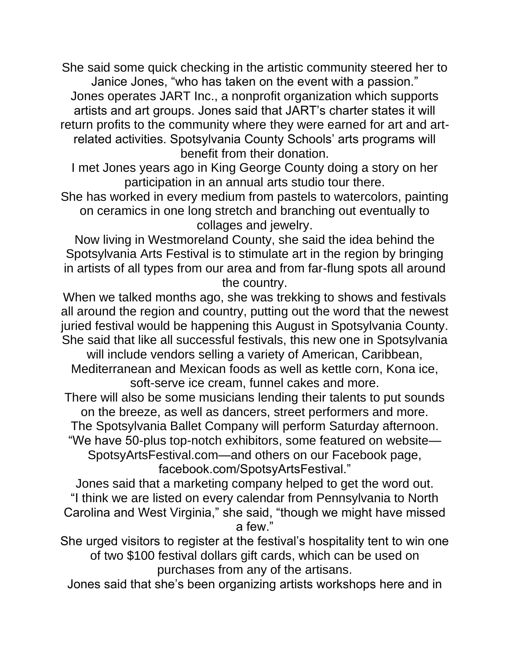She said some quick checking in the artistic community steered her to Janice Jones, "who has taken on the event with a passion." Jones operates JART Inc., a nonprofit organization which supports artists and art groups. Jones said that JART's charter states it will return profits to the community where they were earned for art and artrelated activities. Spotsylvania County Schools' arts programs will benefit from their donation.

I met Jones years ago in King George County doing a story on her participation in an annual arts studio tour there.

She has worked in every medium from pastels to watercolors, painting on ceramics in one long stretch and branching out eventually to collages and jewelry.

Now living in Westmoreland County, she said the idea behind the Spotsylvania Arts Festival is to stimulate art in the region by bringing in artists of all types from our area and from far-flung spots all around the country.

When we talked months ago, she was trekking to shows and festivals all around the region and country, putting out the word that the newest juried festival would be happening this August in Spotsylvania County. She said that like all successful festivals, this new one in Spotsylvania will include vendors selling a variety of American, Caribbean,

Mediterranean and Mexican foods as well as kettle corn, Kona ice, soft-serve ice cream, funnel cakes and more.

There will also be some musicians lending their talents to put sounds on the breeze, as well as dancers, street performers and more.

The Spotsylvania Ballet Company will perform Saturday afternoon.

"We have 50-plus top-notch exhibitors, some featured on website— SpotsyArtsFestival.com—and others on our Facebook page, facebook.com/SpotsyArtsFestival."

Jones said that a marketing company helped to get the word out. "I think we are listed on every calendar from Pennsylvania to North Carolina and West Virginia," she said, "though we might have missed a few."

She urged visitors to register at the festival's hospitality tent to win one of two \$100 festival dollars gift cards, which can be used on purchases from any of the artisans.

Jones said that she's been organizing artists workshops here and in